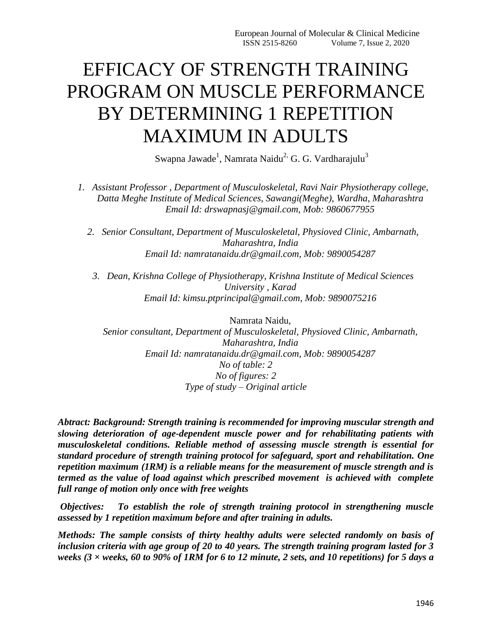# EFFICACY OF STRENGTH TRAINING PROGRAM ON MUSCLE PERFORMANCE BY DETERMINING 1 REPETITION MAXIMUM IN ADULTS

Swapna Jawade<sup>1</sup>, Namrata Naidu<sup>2,</sup> G. G. Vardharajulu<sup>3</sup>

*1. Assistant Professor , Department of Musculoskeletal, Ravi Nair Physiotherapy college, Datta Meghe Institute of Medical Sciences, Sawangi(Meghe), Wardha, Maharashtra Email Id: drswapnasj@gmail.com, Mob: 9860677955*

*2. Senior Consultant, Department of Musculoskeletal, Physioved Clinic, Ambarnath, Maharashtra, India Email Id: namratanaidu.dr@gmail.com, Mob: 9890054287*

*3. Dean, Krishna College of Physiotherapy, Krishna Institute of Medical Sciences University , Karad Email Id: kimsu.ptprincipal@gmail.com, Mob: 9890075216*

Namrata Naidu, *Senior consultant, Department of Musculoskeletal, Physioved Clinic, Ambarnath, Maharashtra, India Email Id: namratanaidu.dr@gmail.com, Mob: 9890054287 No of table: 2 No of figures: 2 Type of study – Original article*

*Abtract: Background: Strength training is recommended for improving muscular strength and slowing deterioration of age-dependent muscle power and for rehabilitating patients with musculoskeletal conditions. Reliable method of assessing muscle strength is essential for standard procedure of strength training protocol for safeguard, sport and rehabilitation. One repetition maximum (1RM) is a reliable means for the measurement of muscle strength and is termed as the value of load against which prescribed movement is achieved with complete full range of motion only once with free weights*

*Objectives: To establish the role of strength training protocol in strengthening muscle assessed by 1 repetition maximum before and after training in adults.*

*Methods: The sample consists of thirty healthy adults were selected randomly on basis of inclusion criteria with age group of 20 to 40 years. The strength training program lasted for 3 weeks (3 × weeks, 60 to 90% of 1RM for 6 to 12 minute, 2 sets, and 10 repetitions) for 5 days a*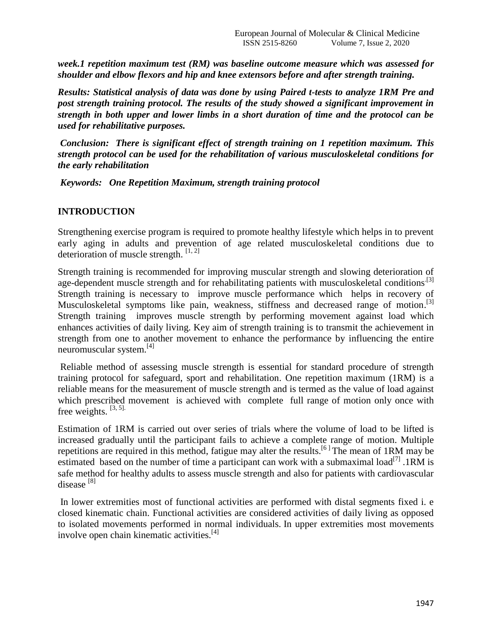*week.1 repetition maximum test (RM) was baseline outcome measure which was assessed for shoulder and elbow flexors and hip and knee extensors before and after strength training.* 

*Results: Statistical analysis of data was done by using Paired t-tests to analyze 1RM Pre and post strength training protocol. The results of the study showed a significant improvement in strength in both upper and lower limbs in a short duration of time and the protocol can be used for rehabilitative purposes.* 

*Conclusion: There is significant effect of strength training on 1 repetition maximum. This strength protocol can be used for the rehabilitation of various musculoskeletal conditions for the early rehabilitation*

*Keywords: One Repetition Maximum, strength training protocol*

#### **INTRODUCTION**

Strengthening exercise program is required to promote healthy lifestyle which helps in to prevent early aging in adults and prevention of age related musculoskeletal conditions due to deterioration of muscle strength.  $[1, 2]$ 

Strength training is recommended for improving muscular strength and slowing deterioration of age-dependent muscle strength and for rehabilitating patients with musculoskeletal conditions<sup>[3]</sup> Strength training is necessary to improve muscle performance which helps in recovery of Musculoskeletal symptoms like pain, weakness, stiffness and decreased range of motion.<sup>[3]</sup> Strength training improves muscle strength by performing movement against load which enhances activities of daily living. Key aim of strength training is to transmit the achievement in strength from one to another movement to enhance the performance by influencing the entire neuromuscular system.[4]

Reliable method of assessing muscle strength is essential for standard procedure of strength training protocol for safeguard, sport and rehabilitation. One repetition maximum (1RM) is a reliable means for the measurement of muscle strength and is termed as the value of load against which prescribed movement is achieved with complete full range of motion only once with free weights.  $[3, 5]$ .

Estimation of 1RM is carried out over series of trials where the volume of load to be lifted is increased gradually until the participant fails to achieve a complete range of motion. Multiple repetitions are required in this method, fatigue may alter the results.<sup>[6]</sup> The mean of 1RM may be estimated based on the number of time a participant can work with a submaximal load<sup>[7]</sup>. IRM is safe method for healthy adults to assess muscle strength and also for patients with cardiovascular disease [8]

In lower extremities most of functional activities are performed with distal segments fixed i. e closed kinematic chain. Functional activities are considered activities of daily living as opposed to isolated movements performed in normal individuals. In upper extremities most movements involve open chain kinematic activities.<sup>[4]</sup>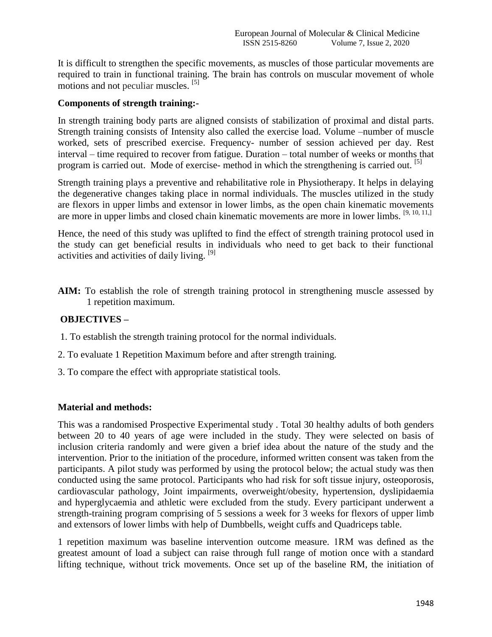It is difficult to strengthen the specific movements, as muscles of those particular movements are required to train in functional training. The brain has controls on muscular movement of whole motions and not peculiar muscles. [5]

### **Components of strength training:-**

In strength training body parts are aligned consists of stabilization of proximal and distal parts. Strength training consists of Intensity also called the exercise load. Volume –number of muscle worked, sets of prescribed exercise. Frequency- number of session achieved per day. Rest interval – time required to recover from fatigue. Duration – total number of weeks or months that program is carried out. Mode of exercise- method in which the strengthening is carried out.  $\left[5\right]$ 

Strength training plays a preventive and rehabilitative role in Physiotherapy. It helps in delaying the degenerative changes taking place in normal individuals. The muscles utilized in the study are flexors in upper limbs and extensor in lower limbs, as the open chain kinematic movements are more in upper limbs and closed chain kinematic movements are more in lower limbs. [9, 10, 11,]

Hence, the need of this study was uplifted to find the effect of strength training protocol used in the study can get beneficial results in individuals who need to get back to their functional activities and activities of daily living. [9]

**AIM:** To establish the role of strength training protocol in strengthening muscle assessed by 1 repetition maximum.

#### **OBJECTIVES –**

- 1. To establish the strength training protocol for the normal individuals.
- 2. To evaluate 1 Repetition Maximum before and after strength training.
- 3. To compare the effect with appropriate statistical tools.

#### **Material and methods:**

This was a randomised Prospective Experimental study . Total 30 healthy adults of both genders between 20 to 40 years of age were included in the study. They were selected on basis of inclusion criteria randomly and were given a brief idea about the nature of the study and the intervention. Prior to the initiation of the procedure, informed written consent was taken from the participants. A pilot study was performed by using the protocol below; the actual study was then conducted using the same protocol. Participants who had risk for soft tissue injury, osteoporosis, cardiovascular pathology, Joint impairments, overweight/obesity, hypertension, dyslipidaemia and hyperglycaemia and athletic were excluded from the study. Every participant underwent a strength-training program comprising of 5 sessions a week for 3 weeks for flexors of upper limb and extensors of lower limbs with help of Dumbbells, weight cuffs and Quadriceps table.

1 repetition maximum was baseline intervention outcome measure. 1RM was defined as the greatest amount of load a subject can raise through full range of motion once with a standard lifting technique, without trick movements. Once set up of the baseline RM, the initiation of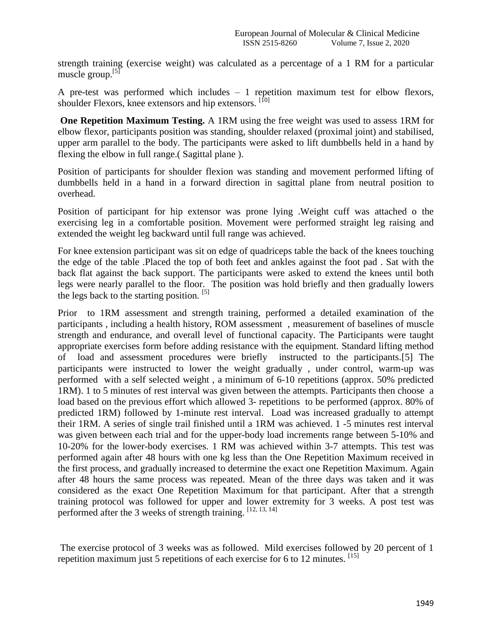strength training (exercise weight) was calculated as a percentage of a 1 RM for a particular muscle group.[5]

A pre-test was performed which includes – 1 repetition maximum test for elbow flexors, shoulder Flexors, knee extensors and hip extensors. [10]

**One Repetition Maximum Testing.** A 1RM using the free weight was used to assess 1RM for elbow flexor, participants position was standing, shoulder relaxed (proximal joint) and stabilised, upper arm parallel to the body. The participants were asked to lift dumbbells held in a hand by flexing the elbow in full range.( Sagittal plane ).

Position of participants for shoulder flexion was standing and movement performed lifting of dumbbells held in a hand in a forward direction in sagittal plane from neutral position to overhead.

Position of participant for hip extensor was prone lying .Weight cuff was attached o the exercising leg in a comfortable position. Movement were performed straight leg raising and extended the weight leg backward until full range was achieved.

For knee extension participant was sit on edge of quadriceps table the back of the knees touching the edge of the table .Placed the top of both feet and ankles against the foot pad . Sat with the back flat against the back support. The participants were asked to extend the knees until both legs were nearly parallel to the floor. The position was hold briefly and then gradually lowers the legs back to the starting position.  $\left[5\right]$ 

Prior to 1RM assessment and strength training, performed a detailed examination of the participants , including a health history, ROM assessment , measurement of baselines of muscle strength and endurance, and overall level of functional capacity. The Participants were taught appropriate exercises form before adding resistance with the equipment. Standard lifting method of load and assessment procedures were briefly instructed to the participants.[5] The participants were instructed to lower the weight gradually , under control, warm-up was performed with a self selected weight , a minimum of 6-10 repetitions (approx. 50% predicted 1RM). 1 to 5 minutes of rest interval was given between the attempts. Participants then choose a load based on the previous effort which allowed 3- repetitions to be performed (approx. 80% of predicted 1RM) followed by 1-minute rest interval. Load was increased gradually to attempt their 1RM. A series of single trail finished until a 1RM was achieved. 1 -5 minutes rest interval was given between each trial and for the upper-body load increments range between 5-10% and 10-20% for the lower-body exercises. 1 RM was achieved within 3-7 attempts. This test was performed again after 48 hours with one kg less than the One Repetition Maximum received in the first process, and gradually increased to determine the exact one Repetition Maximum. Again after 48 hours the same process was repeated. Mean of the three days was taken and it was considered as the exact One Repetition Maximum for that participant. After that a strength training protocol was followed for upper and lower extremity for 3 weeks. A post test was performed after the 3 weeks of strength training.  $[12, 13, 14]$ 

The exercise protocol of 3 weeks was as followed. Mild exercises followed by 20 percent of 1 repetition maximum just 5 repetitions of each exercise for 6 to 12 minutes.  $^{[15]}$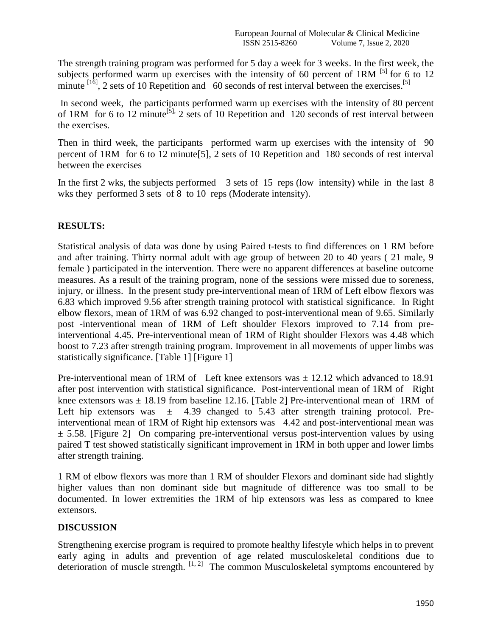The strength training program was performed for 5 day a week for 3 weeks. In the first week, the subjects performed warm up exercises with the intensity of 60 percent of 1RM  $^{[5]}$  for 6 to 12 minute  $^{[16]}$ , 2 sets of 10 Repetition and 60 seconds of rest interval between the exercises.<sup>[5]</sup>

In second week, the participants performed warm up exercises with the intensity of 80 percent of 1RM for 6 to 12 minute<sup>[5],</sup> 2 sets of 10 Repetition and 120 seconds of rest interval between the exercises.

Then in third week, the participants performed warm up exercises with the intensity of 90 percent of 1RM for 6 to 12 minute[5], 2 sets of 10 Repetition and 180 seconds of rest interval between the exercises

In the first 2 wks, the subjects performed 3 sets of 15 reps (low intensity) while in the last 8 wks they performed 3 sets of 8 to 10 reps (Moderate intensity).

# **RESULTS:**

Statistical analysis of data was done by using Paired t-tests to find differences on 1 RM before and after training. Thirty normal adult with age group of between 20 to 40 years ( 21 male, 9 female ) participated in the intervention. There were no apparent differences at baseline outcome measures. As a result of the training program, none of the sessions were missed due to soreness, injury, or illness. In the present study pre-interventional mean of 1RM of Left elbow flexors was 6.83 which improved 9.56 after strength training protocol with statistical significance. In Right elbow flexors, mean of 1RM of was 6.92 changed to post-interventional mean of 9.65. Similarly post -interventional mean of 1RM of Left shoulder Flexors improved to 7.14 from preinterventional 4.45. Pre-interventional mean of 1RM of Right shoulder Flexors was 4.48 which boost to 7.23 after strength training program. Improvement in all movements of upper limbs was statistically significance. [Table 1] [Figure 1]

Pre-interventional mean of 1RM of Left knee extensors was  $\pm$  12.12 which advanced to 18.91 after post intervention with statistical significance. Post-interventional mean of 1RM of Right knee extensors was  $\pm$  18.19 from baseline 12.16. [Table 2] Pre-interventional mean of 1RM of Left hip extensors was  $\pm$  4.39 changed to 5.43 after strength training protocol. Preinterventional mean of 1RM of Right hip extensors was 4.42 and post-interventional mean was  $\pm$  5.58. [Figure 2] On comparing pre-interventional versus post-intervention values by using paired T test showed statistically significant improvement in 1RM in both upper and lower limbs after strength training.

1 RM of elbow flexors was more than 1 RM of shoulder Flexors and dominant side had slightly higher values than non dominant side but magnitude of difference was too small to be documented. In lower extremities the 1RM of hip extensors was less as compared to knee extensors.

### **DISCUSSION**

Strengthening exercise program is required to promote healthy lifestyle which helps in to prevent early aging in adults and prevention of age related musculoskeletal conditions due to deterioration of muscle strength.  $\left[1, 2\right]$  The common Musculoskeletal symptoms encountered by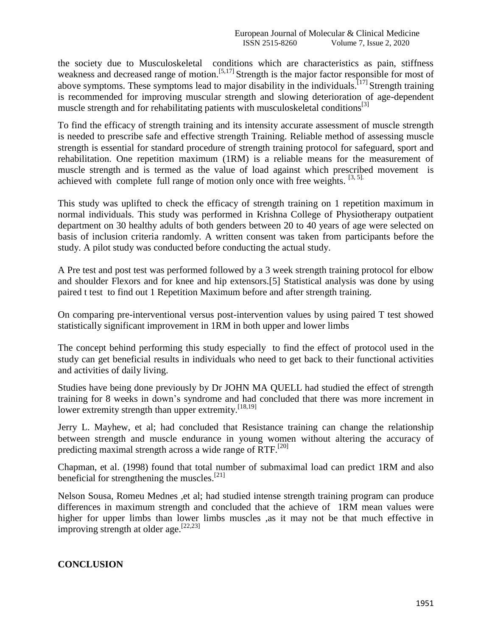the society due to Musculoskeletal conditions which are characteristics as pain, stiffness weakness and decreased range of motion.<sup>[5,17]</sup> Strength is the major factor responsible for most of above symptoms. These symptoms lead to major disability in the individuals.<sup>[17]</sup> Strength training is recommended for improving muscular strength and slowing deterioration of age-dependent muscle strength and for rehabilitating patients with musculoskeletal conditions<sup>[3]</sup>

To find the efficacy of strength training and its intensity accurate assessment of muscle strength is needed to prescribe safe and effective strength Training. Reliable method of assessing muscle strength is essential for standard procedure of strength training protocol for safeguard, sport and rehabilitation. One repetition maximum (1RM) is a reliable means for the measurement of muscle strength and is termed as the value of load against which prescribed movement is achieved with complete full range of motion only once with free weights.  $[3, 5]$ .

This study was uplifted to check the efficacy of strength training on 1 repetition maximum in normal individuals. This study was performed in Krishna College of Physiotherapy outpatient department on 30 healthy adults of both genders between 20 to 40 years of age were selected on basis of inclusion criteria randomly. A written consent was taken from participants before the study. A pilot study was conducted before conducting the actual study.

A Pre test and post test was performed followed by a 3 week strength training protocol for elbow and shoulder Flexors and for knee and hip extensors.[5] Statistical analysis was done by using paired t test to find out 1 Repetition Maximum before and after strength training.

On comparing pre-interventional versus post-intervention values by using paired T test showed statistically significant improvement in 1RM in both upper and lower limbs

The concept behind performing this study especially to find the effect of protocol used in the study can get beneficial results in individuals who need to get back to their functional activities and activities of daily living.

Studies have being done previously by Dr JOHN MA QUELL had studied the effect of strength training for 8 weeks in down's syndrome and had concluded that there was more increment in lower extremity strength than upper extremity.<sup>[18,19]</sup>

Jerry L. Mayhew, et al; had concluded that Resistance training can change the relationship between strength and muscle endurance in young women without altering the accuracy of predicting maximal strength across a wide range of RTF.<sup>[20]</sup>

Chapman, et al. (1998) found that total number of submaximal load can predict 1RM and also beneficial for strengthening the muscles. $[21]$ 

Nelson Sousa, Romeu Mednes ,et al; had studied intense strength training program can produce differences in maximum strength and concluded that the achieve of 1RM mean values were higher for upper limbs than lower limbs muscles ,as it may not be that much effective in improving strength at older age.<sup>[22,23]</sup>

### **CONCLUSION**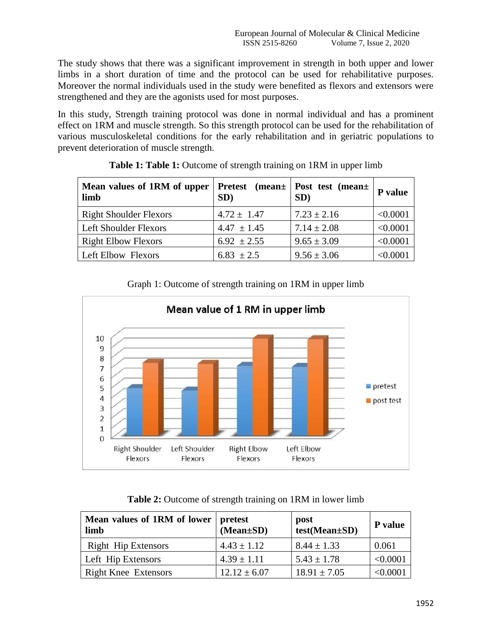The study shows that there was a significant improvement in strength in both upper and lower limbs in a short duration of time and the protocol can be used for rehabilitative purposes. Moreover the normal individuals used in the study were benefited as flexors and extensors were strengthened and they are the agonists used for most purposes.

In this study, Strength training protocol was done in normal individual and has a prominent effect on 1RM and muscle strength. So this strength protocol can be used for the rehabilitation of various musculoskeletal conditions for the early rehabilitation and in geriatric populations to prevent deterioration of muscle strength.

| Mean values of 1RM of upper<br>limb | Pretest (mean+<br>SD) | Post test (mean+<br>SD) | P value       |
|-------------------------------------|-----------------------|-------------------------|---------------|
| <b>Right Shoulder Flexors</b>       | $4.72 \pm 1.47$       | $7.23 \pm 2.16$         | < 0.0001      |
| <b>Left Shoulder Flexors</b>        | $4.47 \pm 1.45$       | $7.14 \pm 2.08$         | < 0.0001      |
| <b>Right Elbow Flexors</b>          | $6.92 \pm 2.55$       | $9.65 \pm 3.09$         | < 0.0001      |
| Left Elbow Flexors                  | $6.83 \pm 2.5$        | $9.56 \pm 3.06$         | $<\!\!0.0001$ |

|  | Table 1: Table 1: Outcome of strength training on 1RM in upper limb |  |  |  |  |
|--|---------------------------------------------------------------------|--|--|--|--|
|  |                                                                     |  |  |  |  |

Graph 1: Outcome of strength training on 1RM in upper limb



**Table 2:** Outcome of strength training on 1RM in lower limb

| Mean values of 1RM of lower<br>limb | <b>pretest</b><br>$(Mean \pm SD)$ | post<br>test(Mean±SD) | P value  |
|-------------------------------------|-----------------------------------|-----------------------|----------|
| <b>Right Hip Extensors</b>          | $4.43 \pm 1.12$                   | $8.44 \pm 1.33$       | 0.061    |
| Left Hip Extensors                  | $4.39 \pm 1.11$                   | $5.43 \pm 1.78$       | < 0.0001 |
| <b>Right Knee Extensors</b>         | $12.12 \pm 6.07$                  | $18.91 \pm 7.05$      | < 0.0001 |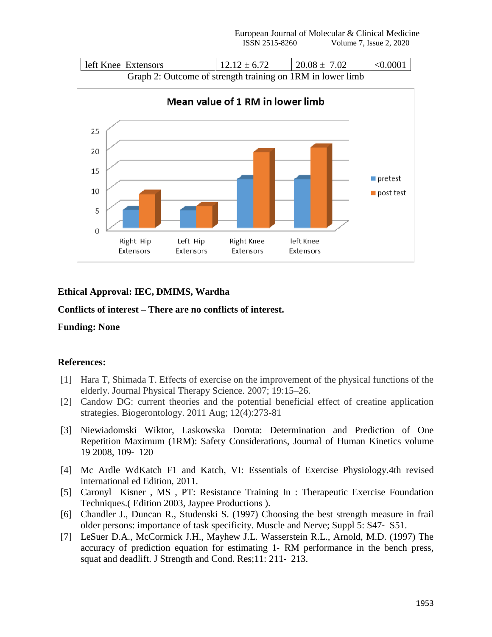

## **Ethical Approval: IEC, DMIMS, Wardha**

## **Conflicts of interest – There are no conflicts of interest.**

### **Funding: None**

### **References:**

- [1] Hara T, Shimada T. Effects of exercise on the improvement of the physical functions of the elderly. Journal Physical Therapy Science. 2007; 19:15–26.
- [2] Candow DG: current theories and the potential beneficial effect of creatine application strategies. Biogerontology. 2011 Aug; 12(4):273-81
- [3] Niewiadomski Wiktor, Laskowska Dorota: Determination and Prediction of One Repetition Maximum (1RM): Safety Considerations, Journal of Human Kinetics volume 19 2008, 109‐ 120
- [4] Mc Ardle WdKatch F1 and Katch, VI: Essentials of Exercise Physiology.4th revised international ed Edition, 2011.
- [5] Caronyl Kisner , MS , PT: Resistance Training In : Therapeutic Exercise Foundation Techniques.( Edition 2003, Jaypee Productions ).
- [6] Chandler J., Duncan R., Studenski S. (1997) Choosing the best strength measure in frail older persons: importance of task specificity. Muscle and Nerve; Suppl 5: S47‐ S51.
- [7] LeSuer D.A., McCormick J.H., Mayhew J.L. Wasserstein R.L., Arnold, M.D. (1997) The accuracy of prediction equation for estimating 1‐ RM performance in the bench press, squat and deadlift. J Strength and Cond. Res;11: 211‐ 213.